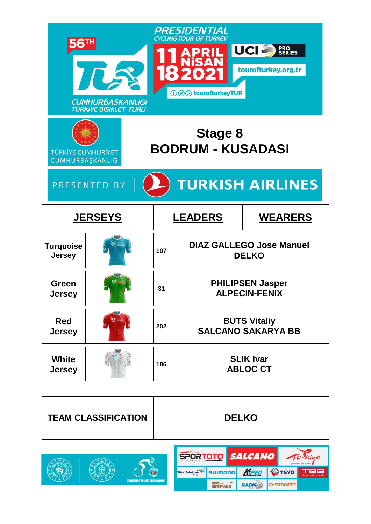|                                                | <b>CUMHURBASKANLIGI</b><br><b>TURKIYE BISIKLET TURU</b> |     | PRESIDENTIAL<br><b>CYCLING TOUR OF TURKEY</b><br><b><i><b>⊕</b></i> sourofturkeyTUR</b> | UCIA<br><b>PRO<br/>SERIES</b><br>tourofturkey.org.tr |
|------------------------------------------------|---------------------------------------------------------|-----|-----------------------------------------------------------------------------------------|------------------------------------------------------|
| <b>TÜRKİYE CUMHURİYETİ</b><br>CUMHURBAŞKANLIĞI |                                                         |     | <b>Stage 8</b><br><b>BODRUM - KUSADASI</b>                                              |                                                      |
|                                                | PRESENTED BY                                            |     |                                                                                         | <b>TURKISH AIRLINES</b>                              |
|                                                | <b>JERSEYS</b>                                          |     | <b>LEADERS</b>                                                                          |                                                      |
|                                                |                                                         |     |                                                                                         | <b>WEARERS</b>                                       |
| <b>Turquoise</b><br><b>Jersey</b>              |                                                         | 107 |                                                                                         | <b>DIAZ GALLEGO Jose Manuel</b><br><b>DELKO</b>      |
| Green<br><b>Jersey</b>                         |                                                         | 31  |                                                                                         | <b>PHILIPSEN Jasper</b><br><b>ALPECIN-FENIX</b>      |
| <b>Red</b><br><b>Jersey</b>                    | $\overline{\phantom{a}}$                                | 202 |                                                                                         | <b>BUTS Vitaliy</b><br><b>SALCANO SAKARYA BB</b>     |



Türk Telekom

**TURKISH CYCLING FEDERATION** 

**SHIMANO** 

**IGA PASS** 

KPEO

RADYO

**OTSYD** 

**D**-SMART

TBB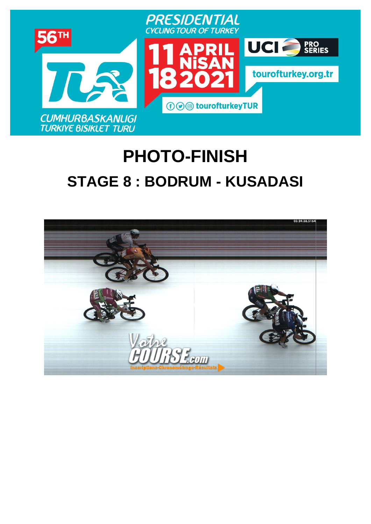

# **PHOTO-FINISH [STAGE](https://www.procyclingstats.com/race/tour-of-turkey/2021/stage-1) 8 : BODRUM - KUSADASI**

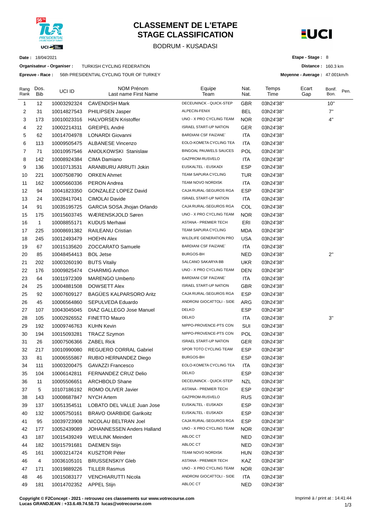

### **CLASSEMENT DE L'ETAPE STAGE CLASSIFICATION**

BODRUM - KUSADASI



**Distance :** 160.3 km **Moyenne - Average :** 47.001km/h

**Etape - Stage :** 8

**Date :** 18/04/2021

**Organisateur - Organiser :** TURKISH CYCLING FEDERATION

**Epreuve - Race :** 56th PRESIDENTIAL CYCLING TOUR OF TURKEY

| Rang<br>Rank | Dos.<br><b>Bib</b> | UCI ID      | <b>NOM Prénom</b><br>Last name First Name | Equipe<br>Team                 | Nat.<br>Nat. | Temps<br>Time | Ecart<br>Gap | Bonif.<br>Bon. | Pen. |
|--------------|--------------------|-------------|-------------------------------------------|--------------------------------|--------------|---------------|--------------|----------------|------|
| 1            | 12                 | 10003292324 | <b>CAVENDISH Mark</b>                     | DECEUNINCK - QUICK-STEP        | <b>GBR</b>   | 03h24'38"     |              | 10"            |      |
| 2            | 31                 | 10014827543 | PHILIPSEN Jasper                          | ALPECIN-FENIX                  | <b>BEL</b>   | 03h24'38"     |              | 7"             |      |
| 3            | 173                | 10010023316 | <b>HALVORSEN Kristoffer</b>               | UNO - X PRO CYCLING TEAM       | <b>NOR</b>   | 03h24'38"     |              | 4"             |      |
| 4            | 22                 | 10002214311 | <b>GREIPEL André</b>                      | <b>ISRAEL START-UP NATION</b>  | GER          | 03h24'38"     |              |                |      |
| 5            | 62                 | 10014704978 | LONARDI Giovanni                          | <b>BARDIANI CSF FAIZANE</b>    | <b>ITA</b>   | 03h24'38"     |              |                |      |
| 6            | 113                | 10009505475 | <b>ALBANESE Vincenzo</b>                  | EOLO-KOMETA CYCLING TEA        | <b>ITA</b>   | 03h24'38"     |              |                |      |
| 7            | 71                 | 10010957546 | ANIOLKOWSKI Stanislaw                     | BINGOAL PAUWELS SAUCES         | POL          | 03h24'38"     |              |                |      |
| 8            | 142                | 10008924384 | CIMA Damiano                              | GAZPROM-RUSVELO                | ITA          | 03h24'38"     |              |                |      |
| 9            | 136                | 10010713531 | ARANBURU ARRUTI Jokin                     | EUSKALTEL - EUSKADI            | <b>ESP</b>   | 03h24'38"     |              |                |      |
| 10           | 221                | 10007508790 | <b>ORKEN Ahmet</b>                        | TEAM SAPURA CYCLING            | <b>TUR</b>   | 03h24'38"     |              |                |      |
| 11           | 162                | 10005660336 | <b>PERON Andrea</b>                       | TEAM NOVO NORDISK              | <b>ITA</b>   | 03h24'38"     |              |                |      |
| 12           | 94                 | 10041823350 | GONZALEZ LOPEZ David                      | CAJA RURAL-SEGUROS RGA         | <b>ESP</b>   | 03h24'38"     |              |                |      |
| 13           | 24                 | 10028417041 | <b>CIMOLAI Davide</b>                     | <b>ISRAEL START-UP NATION</b>  | <b>ITA</b>   | 03h24'38"     |              |                |      |
| 14           | 91                 | 10035195725 | GARCIA SOSA Jhojan Orlando                | CAJA RURAL-SEGUROS RGA         | COL          | 03h24'38"     |              |                |      |
| 15           | 175                | 10015603745 | WÆRENSKJOLD Søren                         | UNO - X PRO CYCLING TEAM       | <b>NOR</b>   | 03h24'38"     |              |                |      |
| 16           | 1                  | 10008855171 | <b>KUDUS Merhawi</b>                      | <b>ASTANA - PREMIER TECH</b>   | ERI          | 03h24'38"     |              |                |      |
| 17           | 225                | 10008691382 | RAILEANU Cristian                         | TEAM SAPURA CYCLING            | <b>MDA</b>   | 03h24'38"     |              |                |      |
| 18           | 245                | 10012493479 | <b>HOEHN Alex</b>                         | <b>WILDLIFE GENERATION PRO</b> | <b>USA</b>   | 03h24'38"     |              |                |      |
| 19           | 67                 | 10015135620 | ZOCCARATO Samuele                         | <b>BARDIANI CSF FAIZANE</b>    | ITA          | 03h24'38"     |              |                |      |
| 20           | 85                 | 10048454413 | <b>BOL Jetse</b>                          | BURGOS-BH                      | <b>NED</b>   | 03h24'38"     |              | 2"             |      |
| 21           | 202                | 10003260190 | <b>BUTS Vitaliy</b>                       | SALCANO SAKARYA BB             | <b>UKR</b>   | 03h24'38"     |              |                |      |
| 22           | 176                | 10009825474 | <b>CHARMIG Anthon</b>                     | UNO - X PRO CYCLING TEAM       | <b>DEN</b>   | 03h24'38"     |              |                |      |
| 23           | 64                 | 10011972309 | <b>MARENGO Umberto</b>                    | <b>BARDIANI CSF FAIZANE</b>    | <b>ITA</b>   | 03h24'38"     |              |                |      |
| 24           | 25                 | 10004881508 | <b>DOWSETT Alex</b>                       | <b>ISRAEL START-UP NATION</b>  | <b>GBR</b>   | 03h24'38"     |              |                |      |
| 25           | 92                 | 10007609127 | <b>BAGÜES KALPARSORO Aritz</b>            | CAJA RURAL-SEGUROS RGA         | <b>ESP</b>   | 03h24'38"     |              |                |      |
| 26           | 45                 | 10006564860 | SEPULVEDA Eduardo                         | ANDRONI GIOCATTOLI - SIDE      | ARG          | 03h24'38"     |              |                |      |
| 27           | 107                | 10043045045 | DIAZ GALLEGO Jose Manuel                  | <b>DELKO</b>                   | <b>ESP</b>   | 03h24'38"     |              |                |      |
| 28           | 105                | 10002926552 | <b>FINETTO Mauro</b>                      | <b>DELKO</b>                   | <b>ITA</b>   | 03h24'38"     |              | 3"             |      |
| 29           | 192                | 10009746763 | <b>KUHN Kevin</b>                         | NIPPO-PROVENCE-PTS CON         | SUI          | 03h24'38"     |              |                |      |
| 30           | 194                | 10015093281 | <b>TRACZ Szymon</b>                       | NIPPO-PROVENCE-PTS CON         | POL          | 03h24'38"     |              |                |      |
| 31           | 26                 | 10007506366 | <b>ZABEL Rick</b>                         | <b>ISRAEL START-UP NATION</b>  | <b>GER</b>   | 03h24'38"     |              |                |      |
| 32           | 217                | 10010990080 | <b>REGUERO CORRAL Gabriel</b>             | SPOR TOTO CYCLING TEAM         | <b>ESP</b>   | 03h24'38"     |              |                |      |
| 33           | 81                 | 10006555867 | RUBIO HERNANDEZ Diego                     | <b>BURGOS-BH</b>               | <b>ESP</b>   | 03h24'38"     |              |                |      |
| 34           | 111                | 10003200475 | <b>GAVAZZI Francesco</b>                  | EOLO-KOMETA CYCLING TEA        | ITA          | 03h24'38"     |              |                |      |
| 35           | 104                | 10006142811 | <b>FERNANDEZ CRUZ Delio</b>               | <b>DELKO</b>                   | <b>ESP</b>   | 03h24'38"     |              |                |      |
| 36           | 11                 | 10005506651 | <b>ARCHBOLD Shane</b>                     | DECEUNINCK - QUICK-STEP        | <b>NZL</b>   | 03h24'38"     |              |                |      |
| 37           | 5                  | 10107186192 | ROMO OLIVER Javier                        | ASTANA - PREMIER TECH          | <b>ESP</b>   | 03h24'38"     |              |                |      |
| 38           | 143                | 10008687847 | <b>NYCH Artem</b>                         | GAZPROM-RUSVELO                | <b>RUS</b>   | 03h24'38"     |              |                |      |
| 39           | 137                | 10051354511 | LOBATO DEL VALLE Juan Jose                | EUSKALTEL - EUSKADI            | <b>ESP</b>   | 03h24'38"     |              |                |      |
| 40           | 132                | 10005750161 | <b>BRAVO OIARBIDE Garikoitz</b>           | EUSKALTEL - EUSKADI            | <b>ESP</b>   | 03h24'38"     |              |                |      |
| 41           | 95                 | 10039723908 | NICOLAU BELTRAN Joel                      | CAJA RURAL-SEGUROS RGA         | <b>ESP</b>   | 03h24'38"     |              |                |      |
| 42           | 177                | 10052439089 | JOHANNESSEN Anders Halland                | UNO - X PRO CYCLING TEAM       | <b>NOR</b>   | 03h24'38"     |              |                |      |
| 43           | 187                | 10015439249 | <b>WEULINK Meindert</b>                   | ABLOC CT                       | NED          | 03h24'38"     |              |                |      |
| 44           | 182                | 10015791681 | <b>DAEMEN Stijn</b>                       | ABLOC CT                       | NED          | 03h24'38"     |              |                |      |
| 45           | 161                | 10003214724 | <b>KUSZTOR Péter</b>                      | TEAM NOVO NORDISK              | <b>HUN</b>   | 03h24'38"     |              |                |      |
| 46           | 4                  | 10036105101 | <b>BRUSSENSKIY Gleb</b>                   | ASTANA - PREMIER TECH          | KAZ          | 03h24'38"     |              |                |      |
| 47           | 171                | 10019889226 | <b>TILLER Rasmus</b>                      | UNO - X PRO CYCLING TEAM       | NOR.         | 03h24'38"     |              |                |      |
| 48           | 46                 | 10015083177 | VENCHIARUTTI Nicola                       | ANDRONI GIOCATTOLI - SIDE      | ITA          | 03h24'38"     |              |                |      |
| 49           | 181                | 10014702352 | <b>APPEL Stijn</b>                        | ABLOC CT                       | <b>NED</b>   | 03h24'38"     |              |                |      |

**Copyright © F2Concept - 2021 - retrouvez ces classements sur www.votrecourse.com Lucas GRANDJEAN : +33.6.49.74.58.73 lucas@votrecourse.com**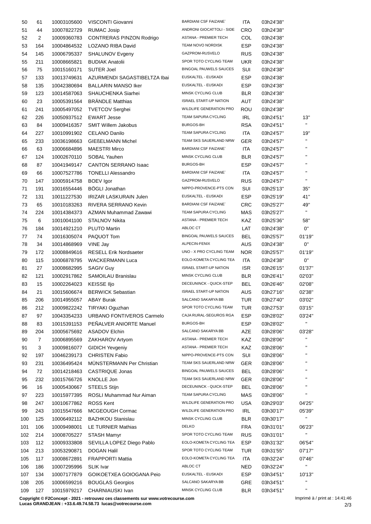| 50  | 61  | 10003105600 | VISCONTI Giovanni             | <b>BARDIANI CSF FAIZANE</b>   | <b>ITA</b> | 03h24'38" |                    |
|-----|-----|-------------|-------------------------------|-------------------------------|------------|-----------|--------------------|
| 51  | 44  | 10007822729 | <b>RUMAC Josip</b>            | ANDRONI GIOCATTOLI - SIDE     | CRO        | 03h24'38" |                    |
| 52  | 2   | 10009360783 | CONTRERAS PINZON Rodrigo      | ASTANA - PREMIER TECH         | COL        | 03h24'38" |                    |
| 53  | 164 | 10004864532 | LOZANO RIBA David             | TEAM NOVO NORDISK             | <b>ESP</b> | 03h24'38" |                    |
| 54  | 145 | 10006795337 | <b>SHALUNOV Evgeny</b>        | GAZPROM-RUSVELO               | <b>RUS</b> | 03h24'38" |                    |
| 55  | 211 | 10008665821 | <b>BUDIAK Anatolii</b>        | SPOR TOTO CYCLING TEAM        | <b>UKR</b> | 03h24'38" |                    |
| 56  | 75  | 10015160171 | <b>SUTER Joel</b>             | <b>BINGOAL PAUWELS SAUCES</b> | SUI        | 03h24'38" |                    |
| 57  | 133 | 10013749631 | AZURMENDI SAGASTIBELTZA Ibai  | EUSKALTEL - EUSKADI           | <b>ESP</b> | 03h24'38" |                    |
| 58  | 135 | 10042380694 | <b>BALLARIN MANSO Iker</b>    | EUSKALTEL - EUSKADI           | <b>ESP</b> | 03h24'38" |                    |
| 59  | 123 | 10014587063 | SHAUCHENKA Siarhei            | MINSK CYCLING CLUB            | <b>BLR</b> | 03h24'38" |                    |
| 60  | 23  | 10005391564 | <b>BRÄNDLE Matthias</b>       | <b>ISRAEL START-UP NATION</b> | AUT        | 03h24'38" |                    |
| 61  | 241 | 10005497052 | <b>TVETCOV Serghei</b>        | WILDLIFE GENERATION PRO       | ROU        | 03h24'38" |                    |
| 62  | 226 | 10050937512 | <b>EWART Jesse</b>            | TEAM SAPURA CYCLING           | <b>IRL</b> |           | 13"                |
|     | 84  | 10009416357 | <b>SMIT Willem Jakobus</b>    | BURGOS-BH                     | <b>RSA</b> | 03h24'51" | $\mathbf{H}$       |
| 63  |     |             |                               | TEAM SAPURA CYCLING           |            | 03h24'51" | 19"                |
| 64  | 227 | 10010991902 | <b>CELANO Danilo</b>          |                               | ITA        | 03h24'57" | $\mathbf{H}$       |
| 65  | 233 | 10036198663 | <b>GIEßELMANN Michel</b>      | TEAM SKS SAUERLAND NRW        | <b>GER</b> | 03h24'57" | $\mathbf{H}$       |
| 66  | 63  | 10006684896 | <b>MAESTRI Mirco</b>          | <b>BARDIANI CSF FAIZANE</b>   | ITA        | 03h24'57" | $\mathbf{H}$       |
| 67  | 124 | 10002670110 | SOBAL Yauhen                  | MINSK CYCLING CLUB            | <b>BLR</b> | 03h24'57" | $\mathbf{H}$       |
| 68  | 87  | 10041949147 | <b>CANTON SERRANO Isaac</b>   | BURGOS-BH                     | <b>ESP</b> | 03h24'57" |                    |
| 69  | 66  | 10007527786 | <b>TONELLI Alessandro</b>     | <b>BARDIANI CSF FAIZANE`</b>  | ITA        | 03h24'57" | $\mathbf{H}$       |
| 70  | 147 | 10005914758 | <b>BOEV</b> Igor              | GAZPROM-RUSVELO               | <b>RUS</b> | 03h24'57" | $\mathbf{H}$       |
| 71  | 191 | 10016554446 | <b>BÖGLI Jonathan</b>         | NIPPO-PROVENCE-PTS CON        | SUI        | 03h25'13" | 35"                |
| 72  | 131 | 10011227530 | <b>IRIZAR LASKURAIN Julen</b> | EUSKALTEL - EUSKADI           | <b>ESP</b> | 03h25'19" | 41"                |
| 73  | 65  | 10010183263 | RIVERA SERRANO Kevin          | <b>BARDIANI CSF FAIZANE</b>   | <b>CRC</b> | 03h25'27" | 49"                |
| 74  | 224 | 10014384373 | AZMAN Muhammad Zawawi         | TEAM SAPURA CYCLING           | MAS        | 03h25'27" | $\mathbf{H}$       |
| 75  | 6   | 10010041100 | <b>STALNOV Nikita</b>         | ASTANA - PREMIER TECH         | KAZ        | 03h25'36" | 58"                |
| 76  | 184 | 10014921210 | <b>PLUTO Martin</b>           | ABLOC CT                      | LAT        | 03h24'38" | 0"                 |
| 77  | 74  | 10016305074 | PAQUOT Tom                    | <b>BINGOAL PAUWELS SAUCES</b> | BEL        | 03h25'57" | 01'19'             |
| 78  | 34  | 10014868969 | VINE Jay                      | ALPECIN-FENIX                 | <b>AUS</b> | 03h24'38" | 0"                 |
| 79  | 172 | 10008849616 | <b>RESELL Erik Nordsaeter</b> | UNO - X PRO CYCLING TEAM      | <b>NOR</b> | 03h25'57" | 01'19'             |
| 80  | 115 | 10006878795 | <b>WACKERMANN Luca</b>        | EOLO-KOMETA CYCLING TEA       | ITA        | 03h24'38" | 0"                 |
| 81  | 27  | 10008682995 | <b>SAGIV Guy</b>              | <b>ISRAEL START-UP NATION</b> | <b>ISR</b> | 03h26'15" | 01'37'             |
| 82  | 121 | 10002917862 | SAMOILAU Branislau            | MINSK CYCLING CLUB            | <b>BLR</b> | 03h26'41" | 02'03'             |
| 83  | 15  | 10002264023 | <b>KEISSE IIjo</b>            | DECEUNINCK - QUICK-STEP       | BEL        | 03h26'46" | 02'08'             |
| 84  | 21  | 10015606674 | <b>BERWICK Sebastian</b>      | <b>ISRAEL START-UP NATION</b> | AUS        | 03h27'16" | 02'38'             |
| 85  | 206 |             | 10014955057 ABAY Burak        | SALCANO SAKARYA BB            | <b>TUR</b> | 03h27'40" | 03'02'             |
| 86  | 212 | 10009822242 | TIRYAKI Oguzhan               | SPOR TOTO CYCLING TEAM        | <b>TUR</b> | 03h27'53" | 03'15'             |
| 87  | 97  | 10043354233 | URBANO FONTIVEROS Carmelo     | CAJA RURAL-SEGUROS RGA        | <b>ESP</b> | 03h28'02" | 03'24'             |
| 88  | 83  | 10015391153 | PEÑALVER ANIORTE Manuel       | BURGOS-BH                     | ESP        | 03h28'02" | $\mathbf{H}$       |
| 89  | 204 | 10005675692 | <b>ASADOV Elchin</b>          | SALCANO SAKARYA BB            | AZE        | 03h28'06" | 03'28'             |
| 90  | 7   | 10006895569 | ZAKHAROV Artyom               | ASTANA - PREMIER TECH         | KAZ        | 03h28'06" |                    |
| 91  | 3   | 10009816077 | <b>GIDICH Yevgeniy</b>        | ASTANA - PREMIER TECH         | KAZ        | 03h28'06" | $\mathbf{H}$       |
| 92  | 197 | 10046239173 | <b>CHRISTEN Fabio</b>         | NIPPO-PROVENCE-PTS CON        | SUI        | 03h28'06" | $\mathbf{H}$       |
|     | 231 | 10036495424 | MÜNSTERMANN Per Christian     | TEAM SKS SAUERLAND NRW        | <b>GER</b> |           | $\mathbf{H}$       |
| 93  |     |             |                               | <b>BINGOAL PAUWELS SAUCES</b> |            | 03h28'06" |                    |
| 94  | 72  | 10014218463 | CASTRIQUE Jonas               | TEAM SKS SAUERLAND NRW        | <b>BEL</b> | 03h28'06" | $\mathbf{H}$       |
| 95  | 232 | 10015766726 | KNOLLE Jon                    |                               | <b>GER</b> | 03h28'06" | $\mathbf{H}$       |
| 96  | 16  | 10005430667 | <b>STEELS Stijn</b>           | DECEUNINCK - QUICK-STEP       | <b>BEL</b> | 03h28'06" | $\mathbf{H}$       |
| 97  | 223 | 10015977395 | ROSLI Muhammad Nur Aiman      | TEAM SAPURA CYCLING           | MAS        | 03h28'06" |                    |
| 98  | 247 | 10010677862 | <b>ROSS Kent</b>              | WILDLIFE GENERATION PRO       | <b>USA</b> | 03h29'03" | 04'25'             |
| 99  | 243 | 10015547666 | MCGEOUGH Cormac               | WILDLIFE GENERATION PRO       | <b>IRL</b> | 03h30'17" | 05'39'             |
| 100 | 125 | 10006492112 | <b>BAZHKOU Stanislau</b>      | MINSK CYCLING CLUB            | <b>BLR</b> | 03h30'17" | $\mathbf{H}$       |
| 101 | 106 | 10009498001 | LE TURNIER Mathias            | <b>DELKO</b>                  | <b>FRA</b> | 03h31'01" | 06'23'             |
| 102 | 214 | 10008705227 | <b>STASH Mamyr</b>            | SPOR TOTO CYCLING TEAM        | <b>RUS</b> | 03h31'01" | $\mathbf{H}$       |
| 103 | 112 | 10009333808 | SEVILLA LOPEZ Diego Pablo     | EOLO-KOMETA CYCLING TEA       | <b>ESP</b> | 03h31'32" | 06'54'             |
| 104 | 213 | 10053290871 | <b>DOGAN Halil</b>            | SPOR TOTO CYCLING TEAM        | TUR        | 03h31'55" | 07'17'             |
| 105 | 117 | 10008672891 | <b>FRAPPORTI Mattia</b>       | EOLO-KOMETA CYCLING TEA       | ITA        | 03h32'24" | 07'46'             |
| 106 | 186 | 10007295996 | <b>SLIK Ivar</b>              | ABLOC CT                      | <b>NED</b> | 03h32'24" | $\mathbf{H}$       |
| 107 | 134 | 10007177879 | GOIKOETXEA GOIOGANA Peio      | EUSKALTEL - EUSKADI           | <b>ESP</b> | 03h34'51" | 10'13'             |
| 108 | 205 | 10006599216 | <b>BOUGLAS Georgios</b>       | SALCANO SAKARYA BB            | GRE        | 03h34'51" | $\mathbf{H}^{\pm}$ |
| 109 | 127 | 10015979217 | CHARNIAUSKI Ivan              | MINSK CYCLING CLUB            | <b>BLR</b> | 03h34'51" | $\mathbf{H}$       |

**Copyright © F2Concept - 2021 - retrouvez ces classements sur www.votrecourse.com**

**Lucas GRANDJEAN : +33.6.49.74.58.73 lucas@votrecourse.com**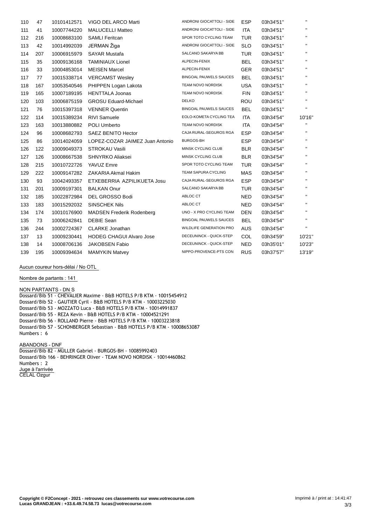| 110 | 47  | 10101412571 | VIGO DEL ARCO Marti              | ANDRONI GIOCATTOLI - SIDE     | <b>ESP</b> | 03h34'51" | $\mathbf{H}$ |
|-----|-----|-------------|----------------------------------|-------------------------------|------------|-----------|--------------|
| 111 | 41  | 10007744220 | <b>MALUCELLI Matteo</b>          | ANDRONI GIOCATTOLI - SIDE     | <b>ITA</b> | 03h34'51" | $\mathbf{H}$ |
| 112 | 216 | 10008683100 | <b>SAMLI Feritcan</b>            | SPOR TOTO CYCLING TEAM        | <b>TUR</b> | 03h34'51" | $\mathbf{H}$ |
| 113 | 42  | 10014992039 | JERMAN Žiga                      | ANDRONI GIOCATTOLI - SIDE     | <b>SLO</b> | 03h34'51" | $\mathbf H$  |
| 114 | 207 | 10006915979 | <b>SAYAR Mustafa</b>             | SALCANO SAKARYA BB            | <b>TUR</b> | 03h34'51" | $\mathbf{H}$ |
| 115 | 35  | 10009136168 | <b>TAMINIAUX Lionel</b>          | ALPECIN-FENIX                 | <b>BEL</b> | 03h34'51" | $\mathbf{H}$ |
| 116 | 33  | 10004853014 | <b>MEISEN Marcel</b>             | ALPECIN-FENIX                 | <b>GER</b> | 03h34'51" | $\mathbf{H}$ |
| 117 | 77  | 10015338714 | <b>VERCAMST Wesley</b>           | <b>BINGOAL PAUWELS SAUCES</b> | <b>BEL</b> | 03h34'51" | $\mathbf H$  |
| 118 | 167 | 10053540546 | PHIPPEN Logan Lakota             | TEAM NOVO NORDISK             | <b>USA</b> | 03h34'51" | $\mathbf{H}$ |
| 119 | 165 | 10007189195 | <b>HENTTALA Joonas</b>           | TEAM NOVO NORDISK             | <b>FIN</b> | 03h34'51" | $\mathbf H$  |
| 120 | 103 | 10006875159 | <b>GROSU Eduard-Michael</b>      | <b>DELKO</b>                  | <b>ROU</b> | 03h34'51" | $\mathbf{H}$ |
| 121 | 76  | 10015397318 | <b>VENNER Quentin</b>            | <b>BINGOAL PAUWELS SAUCES</b> | BEL        | 03h34'51" | $\mathbf H$  |
| 122 | 114 | 10015389234 | <b>RIVI Samuele</b>              | EOLO-KOMETA CYCLING TEA       | ITA        | 03h34'54" | 10'16"       |
| 123 | 163 | 10013880882 | POLI Umberto                     | TEAM NOVO NORDISK             | <b>ITA</b> | 03h34'54" | $\mathbf{H}$ |
| 124 | 96  | 10008682793 | <b>SAEZ BENITO Hector</b>        | CAJA RURAL-SEGUROS RGA        | <b>ESP</b> | 03h34'54" | $\mathbf{H}$ |
| 125 | 86  | 10014024059 | LOPEZ-COZAR JAIMEZ Juan Antonio  | BURGOS-BH                     | <b>ESP</b> | 03h34'54" | $\mathbf{H}$ |
| 126 | 122 | 10009049373 | <b>STROKAU Vasili</b>            | MINSK CYCLING CLUB            | <b>BLR</b> | 03h34'54" | $\mathbf H$  |
| 127 | 126 | 10008667538 | SHNYRKO Aliaksei                 | MINSK CYCLING CLUB            | <b>BLR</b> | 03h34'54" | $\mathbf H$  |
| 128 | 215 | 10010722726 | YAVUZ Emre                       | SPOR TOTO CYCLING TEAM        | <b>TUR</b> | 03h34'54" | $\mathbf{H}$ |
| 129 | 222 | 10009147282 | ZAKARIA Akmal Hakim              | <b>TEAM SAPURA CYCLING</b>    | MAS        | 03h34'54" | $\mathbf H$  |
| 130 | 93  | 10042493357 | ETXEBERRIA AZPILIKUETA Josu      | CAJA RURAL-SEGUROS RGA        | <b>ESP</b> | 03h34'54" | $\mathbf{H}$ |
| 131 | 201 | 10009197301 | <b>BALKAN Onur</b>               | SALCANO SAKARYA BB            | <b>TUR</b> | 03h34'54" | $\mathbf H$  |
| 132 | 185 | 10022872984 | DEL GROSSO Bodi                  | ABLOC CT                      | <b>NED</b> | 03h34'54" | $\mathbf H$  |
| 133 | 183 | 10015292032 | <b>SINSCHEK Nils</b>             | ABLOC CT                      | <b>NED</b> | 03h34'54" | $\mathbf{H}$ |
| 134 | 174 | 10010176900 | <b>MADSEN Frederik Rodenberg</b> | UNO - X PRO CYCLING TEAM      | <b>DEN</b> | 03h34'54" | $\mathbf{H}$ |
| 135 | 73  | 10006242841 | <b>DEBIE Sean</b>                | <b>BINGOAL PAUWELS SAUCES</b> | <b>BEL</b> | 03h34'54" | $\mathbf{H}$ |
| 136 | 244 | 10002724367 | <b>CLARKE Jonathan</b>           | WILDLIFE GENERATION PRO       | <b>AUS</b> | 03h34'54" | $\mathbf{H}$ |
| 137 | 13  | 10009230441 | <b>HODEG CHAGUI Alvaro Jose</b>  | DECEUNINCK - QUICK-STEP       | COL        | 03h34'59" | 10'21"       |
| 138 | 14  | 10008706136 | <b>JAKOBSEN Fabio</b>            | DECEUNINCK - QUICK-STEP       | <b>NED</b> | 03h35'01" | 10'23"       |
| 139 | 195 | 10009394634 | <b>MAMYKIN Matvey</b>            | NIPPO-PROVENCE-PTS CON        | <b>RUS</b> | 03h37'57" | 13'19"       |

**Aucun coureur hors-délai / No OTL**

**Nombre de partants : 141**

#### **NON PARTANTS - DN** S

Dossard/Bib 51 - CHEVALIER Maxime - B&B HOTELS P/B KTM - 10015454912 Dossard/Bib 52 - GAUTIER Cyril - B&B HOTELS P/B KTM - 10003225030 Dossard/Bib 53 - MOZZATO Luca - B&B HOTELS P/B KTM - 10014991837 Dossard/Bib 55 - REZA Kevin - B&B HOTELS P/B KTM - 10004521291 Dossard/Bib 56 - ROLLAND Pierre - B&B HOTELS P/B KTM - 10003223818 Dossard/Bib 57 - SCHONBERGER Sebastian - B&B HOTELS P/B KTM - 10008653087 Numbers : 6

**ABANDONS - DNF**

Dossard/Bib 82 - MULLER Gabriel - BURGOS-BH - 10085992403 Dossard/Bib 166 - BEHRINGER Oliver - TEAM NOVO NORDISK - 10014460862 Numbers : 2 **Juge à l'arrivée** CELAL Ozgur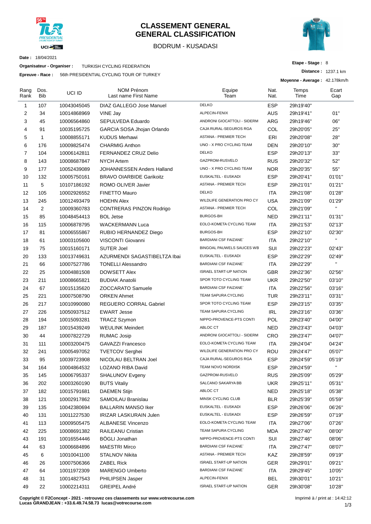

#### **CLASSEMENT GENERAL GENERAL CLASSIFICATION**

#### BODRUM - KUSADASI



**Etape - Stage :** 8

**Distance :** 1237.1 km

**Date :** 18/04/2021

**Organisateur - Organiser :** TURKISH CYCLING FEDERATION

**Epreuve - Race :** 56th PRESIDENTIAL CYCLING TOUR OF TURKEY

|                | - nave .           |             | <b>JOILLE IN LOIDE IN LIKE OF GETTY LOOK OF FURNET</b> |                               |              | Moyenne - Average: 42.178km/h |              |
|----------------|--------------------|-------------|--------------------------------------------------------|-------------------------------|--------------|-------------------------------|--------------|
| Rang<br>Rank   | Dos.<br><b>Bib</b> | UCI ID      | <b>NOM Prénom</b><br>Last name First Name              | Equipe<br>Team                | Nat.<br>Nat. | Temps<br>Time                 | Ecart<br>Gap |
| 1              | 107                | 10043045045 | DIAZ GALLEGO Jose Manuel                               | <b>DELKO</b>                  | <b>ESP</b>   | 29h19'40"                     |              |
| 2              | 34                 | 10014868969 | VINE Jay                                               | ALPECIN-FENIX                 | <b>AUS</b>   | 29h19'41"                     | 01"          |
| 3              | 45                 | 10006564860 | SEPULVEDA Eduardo                                      | ANDRONI GIOCATTOLI - SIDERM   | ARG          | 29h19'46"                     | 06"          |
| $\overline{4}$ | 91                 | 10035195725 | GARCIA SOSA Jhojan Orlando                             | CAJA RURAL-SEGUROS RGA        | COL          | 29h20'05"                     | 25"          |
| 5              | $\mathbf{1}$       | 10008855171 | <b>KUDUS Merhawi</b>                                   | <b>ASTANA - PREMIER TECH</b>  | ERI          | 29h20'08"                     | 28"          |
| 6              | 176                | 10009825474 | <b>CHARMIG Anthon</b>                                  | UNO - X PRO CYCLING TEAM      | <b>DEN</b>   | 29h20'10"                     | 30"          |
| $\overline{7}$ | 104                | 10006142811 | FERNANDEZ CRUZ Delio                                   | <b>DELKO</b>                  | <b>ESP</b>   | 29h20'13"                     | 33"          |
| 8              | 143                | 10008687847 | <b>NYCH Artem</b>                                      | GAZPROM-RUSVELO               | <b>RUS</b>   | 29h20'32"                     | 52"          |
| 9              | 177                | 10052439089 | JOHANNESSEN Anders Halland                             | UNO - X PRO CYCLING TEAM      | <b>NOR</b>   | 29h20'35"                     | 55"          |
| 10             | 132                | 10005750161 | <b>BRAVO OIARBIDE Garikoitz</b>                        | EUSKALTEL - EUSKADI           | <b>ESP</b>   | 29h20'41"                     | 01'01"       |
| 11             | 5                  | 10107186192 | ROMO OLIVER Javier                                     | <b>ASTANA - PREMIER TECH</b>  | <b>ESP</b>   | 29h21'01"                     | 01'21"       |
| 12             | 105                | 10002926552 | <b>FINETTO Mauro</b>                                   | <b>DELKO</b>                  | ITA          | 29h21'08"                     | 01'28"       |
| 13             | 245                | 10012493479 | <b>HOEHN Alex</b>                                      | WILDLIFE GENERATION PRO CY    | <b>USA</b>   | 29h21'09"                     | 01'29"       |
| 14             | 2                  | 10009360783 | <b>CONTRERAS PINZON Rodrigo</b>                        | <b>ASTANA - PREMIER TECH</b>  | COL          | 29h21'09"                     | $\mathbf{H}$ |
| 15             | 85                 | 10048454413 | <b>BOL Jetse</b>                                       | <b>BURGOS-BH</b>              | <b>NED</b>   | 29h21'11"                     | 01'31"       |
| 16             | 115                | 10006878795 | <b>WACKERMANN Luca</b>                                 | EOLO-KOMETA CYCLING TEAM      | ITA          | 29h21'53"                     | 02'13"       |
| 17             | 81                 | 10006555867 | RUBIO HERNANDEZ Diego                                  | <b>BURGOS-BH</b>              | <b>ESP</b>   | 29h22'10"                     | 02'30"       |
| 18             | 61                 | 10003105600 | VISCONTI Giovanni                                      | <b>BARDIANI CSF FAIZANE`</b>  | ITA          | 29h22'10"                     | $\mathbf{H}$ |
| 19             | 75                 | 10015160171 | <b>SUTER Joel</b>                                      | BINGOAL PAUWELS SAUCES WB     | SUI          | 29h22'23"                     | 02'43"       |
| 20             | 133                | 10013749631 | AZURMENDI SAGASTIBELTZA Ibai                           | EUSKALTEL - EUSKADI           | <b>ESP</b>   | 29h22'29"                     | 02'49"       |
| 21             | 66                 | 10007527786 | <b>TONELLI Alessandro</b>                              | <b>BARDIANI CSF FAIZANE`</b>  | <b>ITA</b>   | 29h22'29"                     | $\mathbf{H}$ |
| 22             | 25                 | 10004881508 | <b>DOWSETT Alex</b>                                    | <b>ISRAEL START-UP NATION</b> | GBR          | 29h22'36"                     | 02'56"       |
| 23             | 211                | 10008665821 | <b>BUDIAK Anatolii</b>                                 | SPOR TOTO CYCLING TEAM        | <b>UKR</b>   | 29h22'50"                     | 03'10"       |
| 24             | 67                 | 10015135620 | <b>ZOCCARATO Samuele</b>                               | <b>BARDIANI CSF FAIZANE</b>   | ITA          | 29h22'56"                     | 03'16"       |
| 25             | 221                | 10007508790 | <b>ORKEN Ahmet</b>                                     | TEAM SAPURA CYCLING           | <b>TUR</b>   | 29h23'11"                     | 03'31"       |
| 26             | 217                | 10010990080 | REGUERO CORRAL Gabriel                                 | SPOR TOTO CYCLING TEAM        | <b>ESP</b>   | 29h23'15"                     | 03'35"       |
| 27             | 226                | 10050937512 | <b>EWART Jesse</b>                                     | TEAM SAPURA CYCLING           | IRL          | 29h23'16"                     | 03'36"       |
| 28             | 194                | 10015093281 | TRACZ Szymon                                           | NIPPO-PROVENCE-PTS CONTI      | POL          | 29h23'40"                     | 04'00"       |
| 29             | 187                | 10015439249 | <b>WEULINK Meindert</b>                                | ABLOC CT                      | NED          | 29h23'43"                     | 04'03"       |
| 30             | 44                 | 10007822729 | <b>RUMAC Josip</b>                                     | ANDRONI GIOCATTOLI - SIDERM   | CRO          | 29h23'47"                     | 04'07"       |
| 31             | 111                | 10003200475 | <b>GAVAZZI Francesco</b>                               | EOLO-KOMETA CYCLING TEAM      | ITA          | 29h24'04"                     | 04'24"       |
| 32             | 241                | 10005497052 | <b>TVETCOV Serghei</b>                                 | WILDLIFE GENERATION PRO CY    | ROU          | 29h24'47"                     | 05'07"       |
| 33             | 95                 | 10039723908 | NICOLAU BELTRAN Joel                                   | CAJA RURAL-SEGUROS RGA        | <b>ESP</b>   | 29h24'59"                     | 05'19"       |
| 34             | 164                | 10004864532 | LOZANO RIBA David                                      | TEAM NOVO NORDISK             | <b>ESP</b>   | 29h24'59"                     | п.           |
| 35             | 145                | 10006795337 | <b>SHALUNOV Evgeny</b>                                 | GAZPROM-RUSVELO               | <b>RUS</b>   | 29h25'09"                     | 05'29"       |
| 36             | 202                | 10003260190 | <b>BUTS Vitaliy</b>                                    | SALCANO SAKARYA BB            | UKR          | 29h25'11"                     | 05'31"       |
| 37             | 182                | 10015791681 | <b>DAEMEN Stijn</b>                                    | ABLOC CT                      | <b>NED</b>   | 29h25'18"                     | 05'38"       |
| 38             | 121                | 10002917862 | SAMOILAU Branislau                                     | MINSK CYCLING CLUB            | <b>BLR</b>   | 29h25'39"                     | 05'59"       |
| 39             | 135                | 10042380694 | <b>BALLARIN MANSO Iker</b>                             | EUSKALTEL - EUSKADI           | <b>ESP</b>   | 29h26'06"                     | 06'26"       |
| 40             | 131                | 10011227530 | <b>IRIZAR LASKURAIN Julen</b>                          | EUSKALTEL - EUSKADI           | <b>ESP</b>   | 29h26'59"                     | 07'19"       |
| 41             | 113                | 10009505475 | <b>ALBANESE Vincenzo</b>                               | EOLO-KOMETA CYCLING TEAM      | ITA          | 29h27'06"                     | 07'26"       |
| 42             | 225                | 10008691382 | RAILEANU Cristian                                      | TEAM SAPURA CYCLING           | <b>MDA</b>   | 29h27'40"                     | 08'00"       |
| 43             | 191                | 10016554446 | <b>BÖGLI Jonathan</b>                                  | NIPPO-PROVENCE-PTS CONTI      | SUI          | 29h27'46"                     | 08'06"       |
| 44             | 63                 | 10006684896 | <b>MAESTRI Mirco</b>                                   | <b>BARDIANI CSF FAIZANE</b>   | ITA          | 29h27'47"                     | 08'07"       |
| 45             | 6                  | 10010041100 | STALNOV Nikita                                         | ASTANA - PREMIER TECH         | KAZ          | 29h28'59"                     | 09'19"       |
| 46             | 26                 | 10007506366 | <b>ZABEL Rick</b>                                      | <b>ISRAEL START-UP NATION</b> | <b>GER</b>   | 29h29'01"                     | 09'21"       |
| 47             | 64                 | 10011972309 | <b>MARENGO Umberto</b>                                 | <b>BARDIANI CSF FAIZANE`</b>  | ITA          | 29h29'45"                     | 10'05"       |
| 48             | 31                 | 10014827543 | PHILIPSEN Jasper                                       | ALPECIN-FENIX                 | <b>BEL</b>   | 29h30'01"                     | 10'21"       |
| 49             | 22                 | 10002214311 | <b>GREIPEL André</b>                                   | <b>ISRAEL START-UP NATION</b> | GER          | 29h30'08"                     | 10'28"       |

**Copyright © F2Concept - 2021 - retrouvez ces classements sur www.votrecourse.com Lucas GRANDJEAN : +33.6.49.74.58.73 lucas@votrecourse.com**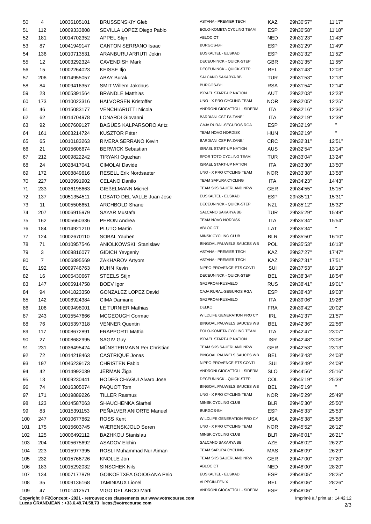| 50  | 4                 | 10036105101 | <b>BRUSSENSKIY Gleb</b>         | ASTANA - PREMIER TECH         | <b>KAZ</b> | 29h30'57"  | 11'17"         |
|-----|-------------------|-------------|---------------------------------|-------------------------------|------------|------------|----------------|
| 51  | 112               | 10009333808 | SEVILLA LOPEZ Diego Pablo       | EOLO-KOMETA CYCLING TEAM      | <b>ESP</b> | 29h30'58"  | 11'18"         |
| 52  | 181               | 10014702352 | <b>APPEL Stijn</b>              | ABLOC CT                      | NED        | 29h31'23"  | 11'43"         |
| 53  | 87                | 10041949147 | <b>CANTON SERRANO Isaac</b>     | <b>BURGOS-BH</b>              | <b>ESP</b> | 29h31'29"  | 11'49"         |
| 54  | 136               | 10010713531 | ARANBURU ARRUTI Jokin           | EUSKALTEL - EUSKADI           | <b>ESP</b> | 29h31'32"  | 11'52"         |
| 55  | $12 \overline{ }$ | 10003292324 | <b>CAVENDISH Mark</b>           | DECEUNINCK - QUICK-STEP       | GBR.       | 29h31'35"  | 11'55"         |
| 56  | 15                | 10002264023 | <b>KEISSE IIjo</b>              | DECEUNINCK - QUICK-STEP       | <b>BEL</b> | 29h31'43"  | 12'03"         |
| 57  | 206               | 10014955057 | <b>ABAY Burak</b>               | SALCANO SAKARYA BB            | <b>TUR</b> | 29h31'53"  | 12'13"         |
| 58  | 84                | 10009416357 | <b>SMIT Willem Jakobus</b>      | BURGOS-BH                     | <b>RSA</b> | 29h31'54"  | 12'14"         |
| 59  | 23                | 10005391564 | <b>BRÄNDLE Matthias</b>         | <b>ISRAEL START-UP NATION</b> | <b>AUT</b> | 29h32'03"  | 12'23"         |
| 60  | 173               | 10010023316 | <b>HALVORSEN Kristoffer</b>     | UNO - X PRO CYCLING TEAM      | <b>NOR</b> | 29h32'05"  | 12'25"         |
| 61  | 46                | 10015083177 | <b>VENCHIARUTTI Nicola</b>      | ANDRONI GIOCATTOLI - SIDERM   | <b>ITA</b> | 29h32'16"  | 12'36"         |
| 62  | 62                | 10014704978 | LONARDI Giovanni                | <b>BARDIANI CSF FAIZANE</b>   | ITA        | 29h32'19"  | 12'39"         |
| 63  | 92                | 10007609127 | <b>BAGÜES KALPARSORO Aritz</b>  | CAJA RURAL-SEGUROS RGA        | <b>ESP</b> | 29h32'19"  | $\mathbf{H}$ . |
| 64  | 161               | 10003214724 | <b>KUSZTOR Péter</b>            | TEAM NOVO NORDISK             | HUN        | 29h32'19"  | $\mathbf{H}$   |
|     | 65                | 10010183263 | RIVERA SERRANO Kevin            | <b>BARDIANI CSF FAIZANE</b>   | <b>CRC</b> | 29h32'31"  | 12'51"         |
| 65  |                   |             | <b>BERWICK Sebastian</b>        | <b>ISRAEL START-UP NATION</b> |            |            |                |
| 66  | 21                | 10015606674 |                                 | SPOR TOTO CYCLING TEAM        | AUS        | 29h32'54"  | 13'14"         |
| 67  | 212               | 10009822242 | TIRYAKI Oguzhan                 |                               | <b>TUR</b> | 29h33'04"  | 13'24"         |
| 68  | 24                | 10028417041 | CIMOLAI Davide                  | <b>ISRAEL START-UP NATION</b> | ITA        | 29h33'30"  | 13'50"         |
| 69  | 172               | 10008849616 | <b>RESELL Erik Nordsaeter</b>   | UNO - X PRO CYCLING TEAM      | <b>NOR</b> | 29h33'38"  | 13'58"         |
| 70  | 227               | 10010991902 | <b>CELANO Danilo</b>            | TEAM SAPURA CYCLING           | ITA        | 29h34'23"  | 14'43"         |
| 71  | 233               | 10036198663 | <b>GIEßELMANN Michel</b>        | TEAM SKS SAUERLAND NRW        | GER        | 29h34'55"  | 15'15"         |
| 72  | 137               | 10051354511 | LOBATO DEL VALLE Juan Jose      | EUSKALTEL - EUSKADI           | <b>ESP</b> | 29h35'11"  | 15'31"         |
| 73  | 11                | 10005506651 | <b>ARCHBOLD Shane</b>           | DECEUNINCK - QUICK-STEP       | NZL        | 29h35'12"  | 15'32"         |
| 74  | 207               | 10006915979 | <b>SAYAR Mustafa</b>            | SALCANO SAKARYA BB            | TUR        | 29h35'29"  | 15'49"         |
| 75  | 162               | 10005660336 | PERON Andrea                    | TEAM NOVO NORDISK             | ITA        | 29h35'34"  | 15'54"         |
| 76  | 184               | 10014921210 | PLUTO Martin                    | ABLOC CT                      | LAT        | 29h35'34"  | $\mathbf{H}$   |
| 77  | 124               | 10002670110 | SOBAL Yauhen                    | MINSK CYCLING CLUB            | <b>BLR</b> | 29h35'50"  | 16'10"         |
| 78  | 71                | 10010957546 | <b>ANIOLKOWSKI Stanislaw</b>    | BINGOAL PAUWELS SAUCES WB     | <b>POL</b> | 29h35'53"  | 16'13"         |
| 79  | 3                 | 10009816077 | <b>GIDICH Yevgeniy</b>          | ASTANA - PREMIER TECH         | KAZ        | 29h37'27"  | 17'47"         |
| 80  | $\overline{7}$    | 10006895569 | ZAKHAROV Artyom                 | ASTANA - PREMIER TECH         | KAZ        | 29h37'31"  | 17'51"         |
| 81  | 192               | 10009746763 | <b>KUHN Kevin</b>               | NIPPO-PROVENCE-PTS CONTI      | SUI        | 29h37'53"  | 18'13"         |
| 82  | 16                | 10005430667 | STEELS Stijn                    | DECEUNINCK - QUICK-STEP       | BEL        | 29h38'34"  | 18'54"         |
| 83  | 147               | 10005914758 | <b>BOEV</b> Igor                | GAZPROM-RUSVELO               | <b>RUS</b> | 29h38'41"  | 19'01"         |
| 84  | 94                | 10041823350 | GONZALEZ LOPEZ David            | CAJA RURAL-SEGUROS RGA        | <b>ESP</b> | 29h38'43"  | 19'03"         |
| 85  | 142               | 10008924384 | CIMA Damiano                    | GAZPROM-RUSVELO               | <b>ITA</b> | 29h39'06"  | 19'26"         |
| 86  | 106               | 10009498001 | LE TURNIER Mathias              | <b>DELKO</b>                  | <b>FRA</b> | 29h39'42'' | 20'02"         |
| 87  | 243               | 10015547666 | MCGEOUGH Cormac                 | WILDLIFE GENERATION PRO CY    | <b>IRL</b> | 29h41'37"  | 21'57"         |
| 88  | 76                | 10015397318 | <b>VENNER Quentin</b>           | BINGOAL PAUWELS SAUCES WB     | <b>BEL</b> | 29h42'36"  | 22'56"         |
| 89  | 117               | 10008672891 | <b>FRAPPORTI Mattia</b>         | EOLO-KOMETA CYCLING TEAM      | <b>ITA</b> | 29h42'47"  | 23'07"         |
| 90  | 27                | 10008682995 | SAGIV Guy                       | <b>ISRAEL START-UP NATION</b> | <b>ISR</b> | 29h42'48"  | 23'08"         |
| 91  | 231               | 10036495424 | MÜNSTERMANN Per Christian       | TEAM SKS SAUERLAND NRW        | <b>GER</b> | 29h42'53"  | 23'13"         |
| 92  | 72                | 10014218463 | <b>CASTRIQUE Jonas</b>          | BINGOAL PAUWELS SAUCES WB     | <b>BEL</b> | 29h43'43"  | 24'03"         |
| 93  | 197               | 10046239173 | <b>CHRISTEN Fabio</b>           | NIPPO-PROVENCE-PTS CONTI      | SUI        | 29h43'49"  | 24'09"         |
| 94  | 42                | 10014992039 | JERMAN Žiga                     | ANDRONI GIOCATTOLI - SIDERM   | <b>SLO</b> | 29h44'56'' | 25'16"         |
| 95  | 13                | 10009230441 | <b>HODEG CHAGUI Alvaro Jose</b> | DECEUNINCK - QUICK-STEP       | <b>COL</b> | 29h45'19"  | 25'39"         |
| 96  | 74                | 10016305074 | PAQUOT Tom                      | BINGOAL PAUWELS SAUCES WB     | <b>BEL</b> | 29h45'19"  | $\mathbf{H}$   |
|     |                   |             | <b>TILLER Rasmus</b>            | UNO - X PRO CYCLING TEAM      | <b>NOR</b> |            | 25'49"         |
| 97  | 171               | 10019889226 |                                 | MINSK CYCLING CLUB            |            | 29h45'29"  |                |
| 98  | 123               | 10014587063 | SHAUCHENKA Siarhei              |                               | <b>BLR</b> | 29h45'30"  | 25'50"         |
| 99  | 83                | 10015391153 | PENALVER ANIORTE Manuel         | BURGOS-BH                     | <b>ESP</b> | 29h45'33"  | 25'53"         |
| 100 | 247               | 10010677862 | ROSS Kent                       | WILDLIFE GENERATION PRO CY    | <b>USA</b> | 29h45'38"  | 25'58"         |
| 101 | 175               | 10015603745 | WÆRENSKJOLD Søren               | UNO - X PRO CYCLING TEAM      | <b>NOR</b> | 29h45'52"  | 26'12"         |
| 102 | 125               | 10006492112 | <b>BAZHKOU Stanislau</b>        | MINSK CYCLING CLUB            | <b>BLR</b> | 29h46'01'' | 26'21"         |
| 103 | 204               | 10005675692 | <b>ASADOV Elchin</b>            | SALCANO SAKARYA BB            | AZE        | 29h46'02"  | 26'22"         |
| 104 | 223               | 10015977395 | ROSLI Muhammad Nur Aiman        | TEAM SAPURA CYCLING           | <b>MAS</b> | 29h46'09"  | 26'29"         |
| 105 | 232               | 10015766726 | KNOLLE Jon                      | TEAM SKS SAUERLAND NRW        | <b>GER</b> | 29h47'00"  | 27'20"         |
| 106 | 183               | 10015292032 | <b>SINSCHEK Nils</b>            | ABLOC CT                      | <b>NED</b> | 29h48'00"  | 28'20"         |
| 107 | 134               | 10007177879 | GOIKOETXEA GOIOGANA Peio        | EUSKALTEL - EUSKADI           | <b>ESP</b> | 29h48'05"  | 28'25"         |
| 108 | 35                | 10009136168 | <b>TAMINIAUX Lionel</b>         | ALPECIN-FENIX                 | <b>BEL</b> | 29h48'06"  | 28'26"         |
| 109 | 47                | 10101412571 | VIGO DEL ARCO Marti             | ANDRONI GIOCATTOLI - SIDERM   | <b>ESP</b> | 29h48'06"  | $\mathbf{H}$ . |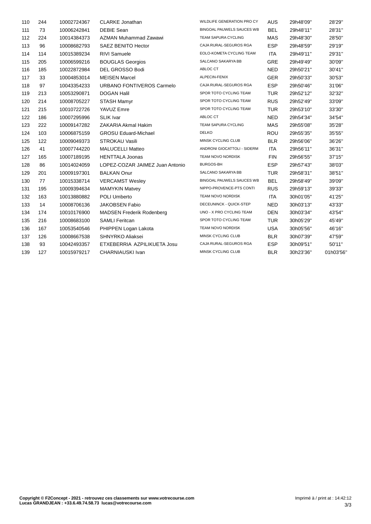| 110 | 244 | 10002724367 | <b>CLARKE Jonathan</b>           | WILDLIFE GENERATION PRO CY  | <b>AUS</b> | 29h48'09" | 28'29"    |
|-----|-----|-------------|----------------------------------|-----------------------------|------------|-----------|-----------|
| 111 | 73  | 10006242841 | <b>DEBIE Sean</b>                | BINGOAL PAUWELS SAUCES WB   | <b>BEL</b> | 29h48'11" | 28'31"    |
| 112 | 224 | 10014384373 | AZMAN Muhammad Zawawi            | TEAM SAPURA CYCLING         | MAS        | 29h48'30" | 28'50"    |
| 113 | 96  | 10008682793 | SAEZ BENITO Hector               | CAJA RURAL-SEGUROS RGA      | <b>ESP</b> | 29h48'59" | 29'19"    |
| 114 | 114 | 10015389234 | RIVI Samuele                     | EOLO-KOMETA CYCLING TEAM    | <b>ITA</b> | 29h49'11" | 29'31"    |
| 115 | 205 | 10006599216 | <b>BOUGLAS Georgios</b>          | SALCANO SAKARYA BB          | <b>GRE</b> | 29h49'49" | 30'09"    |
| 116 | 185 | 10022872984 | DEL GROSSO Bodi                  | ABLOC CT                    | <b>NED</b> | 29h50'21" | 30'41"    |
| 117 | 33  | 10004853014 | <b>MEISEN Marcel</b>             | ALPECIN-FENIX               | <b>GER</b> | 29h50'33" | 30'53"    |
| 118 | 97  | 10043354233 | URBANO FONTIVEROS Carmelo        | CAJA RURAL-SEGUROS RGA      | <b>ESP</b> | 29h50'46" | 31'06"    |
| 119 | 213 | 10053290871 | <b>DOGAN Halil</b>               | SPOR TOTO CYCLING TEAM      | <b>TUR</b> | 29h52'12" | 32'32"    |
| 120 | 214 | 10008705227 | <b>STASH Mamyr</b>               | SPOR TOTO CYCLING TEAM      | <b>RUS</b> | 29h52'49" | 33'09"    |
| 121 | 215 | 10010722726 | YAVUZ Emre                       | SPOR TOTO CYCLING TEAM      | <b>TUR</b> | 29h53'10" | 33'30"    |
| 122 | 186 | 10007295996 | <b>SLIK Ivar</b>                 | ABLOC CT                    | <b>NED</b> | 29h54'34" | 34'54"    |
| 123 | 222 | 10009147282 | ZAKARIA Akmal Hakim              | TEAM SAPURA CYCLING         | MAS        | 29h55'08" | 35'28"    |
| 124 | 103 | 10006875159 | <b>GROSU Eduard-Michael</b>      | <b>DELKO</b>                | ROU        | 29h55'35" | 35'55"    |
| 125 | 122 | 10009049373 | <b>STROKAU Vasili</b>            | MINSK CYCLING CLUB          | <b>BLR</b> | 29h56'06" | 36'26"    |
| 126 | 41  | 10007744220 | <b>MALUCELLI Matteo</b>          | ANDRONI GIOCATTOLI - SIDERM | <b>ITA</b> | 29h56'11" | 36'31"    |
| 127 | 165 | 10007189195 | <b>HENTTALA Joonas</b>           | TEAM NOVO NORDISK           | <b>FIN</b> | 29h56'55" | 37'15"    |
| 128 | 86  | 10014024059 | LOPEZ-COZAR JAIMEZ Juan Antonio  | <b>BURGOS-BH</b>            | <b>ESP</b> | 29h57'43" | 38'03"    |
| 129 | 201 | 10009197301 | <b>BALKAN Onur</b>               | SALCANO SAKARYA BB          | <b>TUR</b> | 29h58'31" | 38'51"    |
| 130 | 77  | 10015338714 | <b>VERCAMST Wesley</b>           | BINGOAL PAUWELS SAUCES WB   | <b>BEL</b> | 29h58'49" | 39'09"    |
| 131 | 195 | 10009394634 | <b>MAMYKIN Matvey</b>            | NIPPO-PROVENCE-PTS CONTI    | <b>RUS</b> | 29h59'13" | 39'33"    |
| 132 | 163 | 10013880882 | POLI Umberto                     | TEAM NOVO NORDISK           | <b>ITA</b> | 30h01'05" | 41'25"    |
| 133 | 14  | 10008706136 | <b>JAKOBSEN Fabio</b>            | DECEUNINCK - QUICK-STEP     | <b>NED</b> | 30h03'13" | 43'33"    |
| 134 | 174 | 10010176900 | <b>MADSEN Frederik Rodenberg</b> | UNO - X PRO CYCLING TEAM    | <b>DEN</b> | 30h03'34" | 43'54"    |
| 135 | 216 | 10008683100 | <b>SAMLI Feritcan</b>            | SPOR TOTO CYCLING TEAM      | <b>TUR</b> | 30h05'29" | 45'49"    |
| 136 | 167 | 10053540546 | PHIPPEN Logan Lakota             | TEAM NOVO NORDISK           | <b>USA</b> | 30h05'56" | 46'16"    |
| 137 | 126 | 10008667538 | <b>SHNYRKO Aliaksei</b>          | MINSK CYCLING CLUB          | <b>BLR</b> | 30h07'39" | 47'59"    |
| 138 | 93  | 10042493357 | ETXEBERRIA AZPILIKUETA Josu      | CAJA RURAL-SEGUROS RGA      | <b>ESP</b> | 30h09'51" | 50'11"    |
| 139 | 127 | 10015979217 | CHARNIAUSKI Ivan                 | MINSK CYCLING CLUB          | <b>BLR</b> | 30h23'36" | 01h03'56' |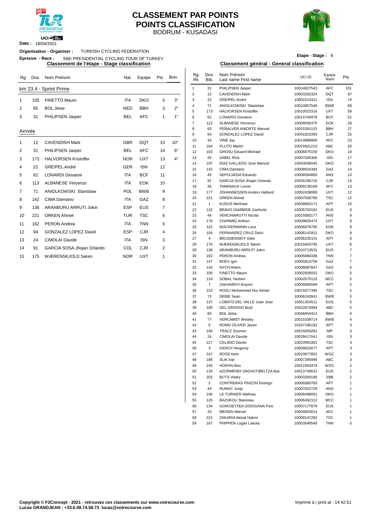

**Date :** 18/04/2021

#### BODRUM - KUSADASI **CLASSEMENT PAR POINTS POINTS CLASSIFICATION**



**Etape - Stage :** 8

#### **Organisateur - Organiser :** TURKISH CYCLING FEDERATION

**Epreuve - Race :** 56th PRESIDENTIAL CYCLING TOUR OF TURKEY

| Rg      | Dos. | Nom Prénom                   | Nat.       | Equipe     | Pts | Bon. | Rg<br><b>Rk</b> | Dos.<br>Bib.   | Nom Prénom<br>Last name First name                    | UCI ID                     | Equipe<br>Team           | Pts            |
|---------|------|------------------------------|------------|------------|-----|------|-----------------|----------------|-------------------------------------------------------|----------------------------|--------------------------|----------------|
|         |      | km 23.4 - Sprint Prime       |            |            |     |      | $\overline{1}$  | 31             | PHILIPSEN Jasper                                      | 10014827543                | <b>AFC</b>               | 101            |
|         |      |                              |            |            |     |      | $\overline{2}$  | 12             | <b>CAVENDISH Mark</b>                                 | 10003292324                | <b>DQT</b>               | 97             |
|         | 105  | <b>FINETTO Mauro</b>         | <b>ITA</b> | <b>DKO</b> | 5   | 3"   | 3               | 22             | <b>GREIPEL André</b>                                  | 10002214311                | <b>ISN</b>               | 74             |
| 2       | 85   | <b>BOL Jetse</b>             | <b>NED</b> | <b>BBH</b> | 3   | 2"   | 4               | 71             | ANIOLKOWSKI Stanislaw                                 | 10010957546                | <b>BWB</b>               | 69             |
|         |      |                              |            |            |     |      | 5               | 173            | <b>HALVORSEN Kristoffer</b>                           | 10010023316                | <b>UXT</b>               | 59             |
| 3       | 31   | PHILIPSEN Jasper             | <b>BEL</b> | <b>AFC</b> | 1   | 1"   | 6               | 62             | <b>LONARDI Giovanni</b>                               | 10014704978                | <b>BCF</b>               | 51             |
|         |      |                              |            |            |     |      | $\overline{7}$  | 113            | <b>ALBANESE Vincenzo</b>                              | 10009505475                | EOK                      | 29             |
| Arrivée |      |                              |            |            |     |      | 8               | 83             | PEÑALVER ANIORTE Manuel                               | 10015391153                | <b>BBH</b>               | 27             |
|         |      |                              |            |            |     |      | 9               | 94             | <b>GONZALEZ LOPEZ David</b>                           | 10041823350                | <b>CJR</b>               | 25             |
|         | 12   | <b>CAVENDISH Mark</b>        | <b>GBR</b> | <b>DQT</b> | 15  | 10"  | 10              | 34             | VINE Jay                                              | 10014868969                | <b>AFC</b>               | 23             |
|         |      |                              |            |            |     |      | 11              | 184            | PLUTO Martin                                          | 10014921210                | <b>ABC</b>               | 20             |
| 2       | 31   | PHILIPSEN Jasper             | <b>BEL</b> | <b>AFC</b> | 14  | 6"   | 12              | 103            | <b>GROSU Eduard-Michael</b>                           | 10006875159                | <b>DKO</b>               | 19             |
| 3       | 173  | <b>HALVORSEN Kristoffer</b>  | <b>NOR</b> | <b>UXT</b> | 13  | 4"   | 13              | 26             | <b>ZABEL Rick</b>                                     | 10007506366                | <b>ISN</b>               | 17             |
| 4       | 22   | <b>GREIPEL André</b>         | <b>GER</b> | <b>ISN</b> | 12  |      | 14              | 107            | <b>DIAZ GALLEGO Jose Manuel</b>                       | 10043045045                | <b>DKO</b>               | 15             |
|         |      |                              |            |            |     |      | 15              | 142            | CIMA Damiano                                          | 10008924384                | GAZ                      | 14             |
| 5       | 62   | <b>LONARDI Giovanni</b>      | <b>ITA</b> | <b>BCF</b> | 11  |      | 16              | 45             | SEPULVEDA Eduardo                                     | 10006564860                | ANS                      | 13             |
| 6       | 113  | <b>ALBANESE Vincenzo</b>     | <b>ITA</b> | <b>EOK</b> | 10  |      | 17              | 91             | GARCIA SOSA Jhojan Orlando                            | 10035195725                | CJR                      | 13             |
| 7       | 71   | <b>ANIOLKOWSKI Stanislaw</b> | POL        | <b>BWB</b> | 9   |      | 18              | 35             | <b>TAMINIAUX Lionel</b>                               | 10009136168                | <b>AFC</b>               | 13             |
|         |      |                              |            |            |     |      | 19              | 177            | JOHANNESSEN Anders Halland                            | 10052439089                | <b>UXT</b>               | 12             |
| 8       | 142  | CIMA Damiano                 | <b>ITA</b> | GAZ        | 8   |      | 20              | 221            | <b>ORKEN Ahmet</b>                                    | 10007508790                | <b>TSC</b>               | 12             |
| 9       | 136  | ARANBURU ARRUTI Jokin        | <b>ESP</b> | <b>EUS</b> | 7   |      | 21              | $\mathbf{1}$   | <b>KUDUS Merhawi</b>                                  | 10008855171                | <b>APT</b>               | 1 <sup>1</sup> |
|         |      |                              |            |            |     |      | 22              | 132            | <b>BRAVO OIARBIDE Garikoitz</b>                       | 10005750161                | <b>EUS</b>               |                |
| 10      | 221  | <b>ORKEN Ahmet</b>           | <b>TUR</b> | <b>TSC</b> | 6   |      | 23              | 46             | <b>VENCHIARUTTI Nicola</b>                            | 10015083177                | ANS                      |                |
| 11      | 162  | <b>PERON</b> Andrea          | <b>ITA</b> | <b>TNN</b> | 5   |      | 24              | 176            | <b>CHARMIG Anthon</b>                                 | 10009825474                | <b>UXT</b>               |                |
| 12      | 94   | <b>GONZALEZ LOPEZ David</b>  | <b>ESP</b> | <b>CJR</b> | 4   |      | 25<br>26        | 115<br>104     | <b>WACKERMANN Luca</b><br><b>FERNANDEZ CRUZ Delio</b> | 10006878795<br>10006142811 | <b>EOK</b><br><b>DKO</b> |                |
|         |      |                              |            |            |     |      | 27              | $\overline{4}$ | <b>BRUSSENSKIY Gleb</b>                               | 10036105101                | <b>APT</b>               |                |
| 13      | 24   | <b>CIMOLAI Davide</b>        | <b>ITA</b> | <b>ISN</b> | 3   |      | 28              | 175            | WÆRENSKJOLD Søren                                     | 10015603745                | <b>UXT</b>               |                |
| 14      | 91   | GARCIA SOSA Jhojan Orlando   | COL        | <b>CJR</b> | 2   |      | 29              | 136            | ARANBURU ARRUTI Jokin                                 | 10010713531                | <b>EUS</b>               |                |
|         |      |                              | <b>NOR</b> | <b>UXT</b> | 1   |      | 30              | 162            | <b>PERON Andrea</b>                                   | 10005660336                | <b>TNN</b>               |                |
| 15      | 175  | WÆRENSKJOLD Søren            |            |            |     |      |                 |                |                                                       |                            |                          |                |

#### **Classement de l'étape - Stage classification Classement général - General classification**

| Rg      |     | Dos. Nom Prénom             | Nat.       | Equipe     | Pts          | Bon. | $\mathsf{Rg}$<br><b>Rk</b> | Dos.<br>Bib.   | Nom Prénom<br>Last name First name                   | UCI ID                     | Equipe<br>Team           | Pts                          |
|---------|-----|-----------------------------|------------|------------|--------------|------|----------------------------|----------------|------------------------------------------------------|----------------------------|--------------------------|------------------------------|
|         |     | km 23.4 - Sprint Prime      |            |            |              |      | $\mathbf{1}$               | 31             | PHILIPSEN Jasper                                     | 10014827543                | <b>AFC</b>               | 101                          |
|         |     |                             |            |            |              |      | $\overline{\mathbf{c}}$    | 12             | <b>CAVENDISH Mark</b>                                | 10003292324                | <b>DQT</b>               | 97                           |
| 1       | 105 | <b>FINETTO Mauro</b>        | ITA        | DKO        | 5            | 3"   | 3                          | 22             | GREIPEL André                                        | 10002214311                | <b>ISN</b>               | 74                           |
| 2       | 85  | <b>BOL Jetse</b>            | <b>NED</b> | <b>BBH</b> | 3            | 2"   | 4<br>5                     | 71<br>173      | ANIOLKOWSKI Stanislaw<br><b>HALVORSEN Kristoffer</b> | 10010957546                | <b>BWB</b><br><b>UXT</b> | 69<br>59                     |
| 3       | 31  | PHILIPSEN Jasper            | BEL        | AFC        | $\mathbf{1}$ | 1"   | 6                          | 62             | <b>LONARDI Giovanni</b>                              | 10010023316<br>10014704978 | <b>BCF</b>               | 51                           |
|         |     |                             |            |            |              |      | $\overline{7}$             | 113            | <b>ALBANESE Vincenzo</b>                             | 10009505475                | <b>EOK</b>               | 29                           |
|         |     |                             |            |            |              |      | 8                          | 83             | PEÑALVER ANIORTE Manuel                              | 10015391153                | BBH                      | 27                           |
| Arrivée |     |                             |            |            |              |      | 9                          | 94             | GONZALEZ LOPEZ David                                 | 10041823350                | <b>CJR</b>               | 25                           |
| 1       | 12  | <b>CAVENDISH Mark</b>       | GBR        | <b>DQT</b> | 15           | 10"  | 10                         | 34             | VINE Jay                                             | 10014868969                | <b>AFC</b>               | 23                           |
|         |     |                             |            |            |              |      | 11                         | 184            | PLUTO Martin                                         | 10014921210                | ABC                      | 20                           |
| 2       | 31  | PHILIPSEN Jasper            | <b>BEL</b> | <b>AFC</b> | 14           | 6"   | 12                         | 103            | <b>GROSU Eduard-Michael</b>                          | 10006875159                | <b>DKO</b>               | 19                           |
| 3       | 173 | <b>HALVORSEN Kristoffer</b> | <b>NOR</b> | <b>UXT</b> | 13           | 4"   | 13                         | 26             | <b>ZABEL Rick</b>                                    | 10007506366                | <b>ISN</b>               | 17                           |
| 4       | 22  | <b>GREIPEL André</b>        | GER        | <b>ISN</b> | 12           |      | 14<br>15                   | 107<br>142     | DIAZ GALLEGO Jose Manuel<br>CIMA Damiano             | 10043045045                | <b>DKO</b><br>GAZ        | 15                           |
| 5       | 62  | LONARDI Giovanni            | ITA        | <b>BCF</b> | 11           |      | 16                         | 45             | SEPULVEDA Eduardo                                    | 10008924384<br>10006564860 | ANS                      | 14<br>13                     |
|         |     |                             |            |            |              |      | 17                         | 91             | GARCIA SOSA Jhojan Orlando                           | 10035195725                | <b>CJR</b>               | 13                           |
| 6       | 113 | <b>ALBANESE Vincenzo</b>    | ITA        | EOK        | 10           |      | 18                         | 35             | <b>TAMINIAUX Lionel</b>                              | 10009136168                | AFC                      | 13                           |
| 7       | 71  | ANIOLKOWSKI Stanislaw       | <b>POL</b> | <b>BWB</b> | 9            |      | 19                         | 177            | JOHANNESSEN Anders Halland                           | 10052439089                | <b>UXT</b>               | 12                           |
| 8       | 142 | CIMA Damiano                | ITA        | GAZ        | 8            |      | 20                         | 221            | <b>ORKEN Ahmet</b>                                   | 10007508790                | <b>TSC</b>               | 12                           |
|         | 136 | ARANBURU ARRUTI Jokin       | <b>ESP</b> | <b>EUS</b> | 7            |      | 21                         | $\mathbf{1}$   | <b>KUDUS Merhawi</b>                                 | 10008855171                | APT                      | 10                           |
| 9       |     |                             |            |            |              |      | 22                         | 132            | <b>BRAVO OIARBIDE Garikoitz</b>                      | 10005750161                | EUS                      | 9                            |
| 10      | 221 | <b>ORKEN Ahmet</b>          | <b>TUR</b> | TSC        | 6            |      | 23                         | 46             | VENCHIARUTTI Nicola                                  | 10015083177                | ANS                      | 9                            |
| 11      | 162 | <b>PERON</b> Andrea         | ITA        | <b>TNN</b> | 5            |      | 24                         | 176            | <b>CHARMIG Anthon</b>                                | 10009825474                | <b>UXT</b>               | 9                            |
| 12      | 94  | <b>GONZALEZ LOPEZ David</b> | <b>ESP</b> | <b>CJR</b> | 4            |      | 25<br>26                   | 115<br>104     | <b>WACKERMANN Luca</b><br>FERNANDEZ CRUZ Delio       | 10006878795<br>10006142811 | EOK<br><b>DKO</b>        | 9<br>8                       |
|         |     |                             |            |            |              |      | 27                         | $\overline{4}$ | <b>BRUSSENSKIY Gleb</b>                              | 10036105101                | APT                      | 8                            |
| 13      | 24  | <b>CIMOLAI Davide</b>       | ITA        | <b>ISN</b> | 3            |      | 28                         | 175            | WÆRENSKJOLD Søren                                    | 10015603745                | UXT                      | 8                            |
| 14      | 91  | GARCIA SOSA Jhojan Orlando  | COL        | <b>CJR</b> | 2            |      | 29                         | 136            | ARANBURU ARRUTI Jokin                                | 10010713531                | <b>EUS</b>               | 7                            |
| 15      | 175 | WÆRENSKJOLD Søren           | <b>NOR</b> | <b>UXT</b> | 1            |      | 30                         | 162            | PERON Andrea                                         | 10005660336                | <b>TNN</b>               | 7                            |
|         |     |                             |            |            |              |      | 31                         | 147            | <b>BOEV</b> Igor                                     | 10005914758                | GAZ                      | $\overline{7}$               |
|         |     |                             |            |            |              |      | 32                         | 143            | <b>NYCH Artem</b>                                    | 10008687847                | GAZ                      | 6                            |
|         |     |                             |            |            |              |      | 33                         | 105            | FINETTO Mauro                                        | 10002926552                | <b>DKO</b>               | 5                            |
|         |     |                             |            |            |              |      | 34                         | 124            | SOBAL Yauhen                                         | 10002670110                | <b>MCC</b>               | 5                            |
|         |     |                             |            |            |              |      | 35                         | $\overline{7}$ | ZAKHAROV Artyom                                      | 10006895569                | APT                      | 5                            |
|         |     |                             |            |            |              |      | 36<br>37                   | 223<br>73      | ROSLI Muhammad Nur Aiman<br><b>DEBIE Sean</b>        | 10015977395<br>10006242841 | <b>TSC</b><br><b>BWB</b> | 5<br>5                       |
|         |     |                             |            |            |              |      | 38                         | 137            | LOBATO DEL VALLE Juan Jose                           | 10051354511                | EUS                      | 5                            |
|         |     |                             |            |            |              |      | 39                         | 185            | DEL GROSSO Bodi                                      | 10022872984                | ABC                      | 5                            |
|         |     |                             |            |            |              |      | 40                         | 85             | <b>BOL Jetse</b>                                     | 10048454413                | BBH                      | $\sqrt{4}$                   |
|         |     |                             |            |            |              |      | 41                         | 77             | <b>VERCAMST Wesley</b>                               | 10015338714                | <b>BWB</b>               | 4                            |
|         |     |                             |            |            |              |      | 42                         | 5              | ROMO OLIVER Javier                                   | 10107186192                | <b>APT</b>               | 3                            |
|         |     |                             |            |            |              |      | 43                         | 194            | <b>TRACZ Szymon</b>                                  | 10015093281                | <b>NIP</b>               | 3                            |
|         |     |                             |            |            |              |      | 44                         | 24             | CIMOLAI Davide                                       | 10028417041                | <b>ISN</b>               | 3                            |
|         |     |                             |            |            |              |      | 45                         | 227<br>3       | CELANO Danilo                                        | 10010991902                | <b>TSC</b>               | 3                            |
|         |     |                             |            |            |              |      | 46<br>47                   | 247            | <b>GIDICH Yevgeniy</b><br>ROSS Kent                  | 10009816077<br>10010677862 | APT<br>WGC               | 3<br>3                       |
|         |     |                             |            |            |              |      | 48                         | 186            | SLIK Ivar                                            | 10007295996                | ABC                      | 3                            |
|         |     |                             |            |            |              |      | 49                         | 245            | <b>HOEHN Alex</b>                                    | 10012493479                | WGC                      | $\overline{\mathbf{c}}$      |
|         |     |                             |            |            |              |      | 50                         | 133            | AZURMENDI SAGASTIBELTZA Ibai                         | 10013749631                | <b>EUS</b>               | $\overline{\mathbf{c}}$      |
|         |     |                             |            |            |              |      | 51                         | 202            | <b>BUTS Vitaliy</b>                                  | 10003260190                | SBB                      | $\overline{\mathbf{c}}$      |
|         |     |                             |            |            |              |      | 52                         | $\overline{2}$ | CONTRERAS PINZON Rodrigo                             | 10009360783                | APT                      | $\mathbf{1}$                 |
|         |     |                             |            |            |              |      | 53                         | 44             | <b>RUMAC Josip</b>                                   | 10007822729                | ANS                      | 1                            |
|         |     |                             |            |            |              |      | 54                         | 106            | LE TURNIER Mathias                                   | 10009498001                | DKO                      | $\mathbf{1}$                 |
|         |     |                             |            |            |              |      | 55                         | 125            | BAZHKOU Stanislau                                    | 10006492112                | <b>MCC</b>               | $\mathbf{1}$                 |
|         |     |                             |            |            |              |      | 56                         | 134            | GOIKOETXEA GOIOGANA Peio                             | 10007177879                | <b>EUS</b>               | 1                            |
|         |     |                             |            |            |              |      | 57<br>58                   | 33<br>222      | <b>MEISEN Marcel</b><br>ZAKARIA Akmal Hakim          | 10004853014<br>10009147282 | AFC<br><b>TSC</b>        | $\mathbf{1}$<br>$\mathbf{1}$ |
|         |     |                             |            |            |              |      | 59                         | 167            | PHIPPEN Logan Lakota                                 | 10053540546                | <b>TNN</b>               | -3                           |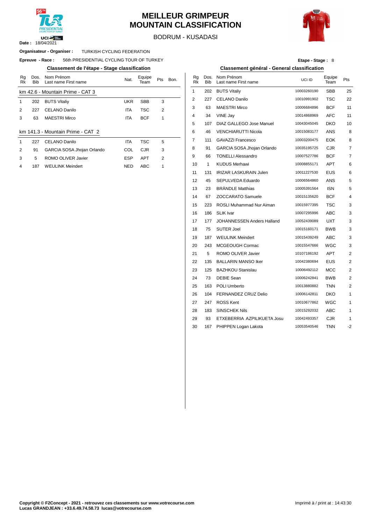

#### **MEILLEUR GRIMPEUR MOUNTAIN CLASSIFICATION**



BODRUM - KUSADASI

#### **Organisateur - Organiser : TURKISH CYCLING FEDERATION**

#### $E$ preuve  $-$  **Race** : 56th PRESIDENTIAL CYCLING TOUR OF TURKEY

#### **Classement de l'étape - Stage classification Classement général - General classification**

| Rg<br>Rk      | Dos.<br><b>Bib</b> | Nom Prénom<br>Last name First name | Nat.       | Equipe<br>Team | Pts            | Bon. | Rg<br>Rk       | Dos<br><b>Bib</b> |
|---------------|--------------------|------------------------------------|------------|----------------|----------------|------|----------------|-------------------|
|               |                    | km 42.6 - Mountain Prime - CAT 3   |            |                |                |      | 1              | 202               |
| 1             | 202                | <b>BUTS Vitaliy</b>                | <b>UKR</b> | <b>SBB</b>     | 3              |      | 2              | 227               |
| $\mathcal{P}$ | 227                | CELANO Danilo                      | <b>ITA</b> | TSC            | $\overline{2}$ |      | 3              | 63                |
| 3             | 63                 | <b>MAESTRI Mirco</b>               | <b>ITA</b> | <b>BCF</b>     | 1              |      | 4              | 34                |
|               |                    |                                    |            |                |                |      | 5              | 107               |
|               |                    | km 141.3 - Mountain Prime - CAT 2  |            |                |                |      | 6              | 46                |
| 1             | 227                | CELANO Danilo                      | <b>ITA</b> | <b>TSC</b>     | 5              |      | $\overline{7}$ | 111               |
| 2             | 91                 | GARCIA SOSA Jhojan Orlando         | COL        | <b>CJR</b>     | 3              |      | 8              | 91                |
| 3             | 5                  | ROMO OLIVER Javier                 | <b>ESP</b> | <b>APT</b>     | $\overline{2}$ |      | 9              | 66                |
| 4             | 187                | <b>WEULINK Meindert</b>            | <b>NED</b> | ABC            | 1              |      | 10             | 1                 |

| Etape - Stage: 8 |  |
|------------------|--|
|------------------|--|

| uvv .<br><b>JOILLINE OLD LITTLE OT OLINO TOOK OF TURKET</b> |            |                |                |      |                |              |                                             | Liape Jiaye. 0 |                |                         |
|-------------------------------------------------------------|------------|----------------|----------------|------|----------------|--------------|---------------------------------------------|----------------|----------------|-------------------------|
| Classement de l'étape - Stage classification                |            |                |                |      |                |              | Classement général - General classification |                |                |                         |
| Nom Prénom<br>Last name First name                          | Nat.       | Equipe<br>Team | Pts            | Bon. | Rg<br>RK       | <b>Bib</b>   | Dos. Nom Prénom<br>Last name First name     | UCI ID         | Equipe<br>Team | Pts                     |
| <b>Mountain Prime - CAT 3</b>                               |            |                |                |      | $\mathbf{1}$   | 202          | <b>BUTS Vitaliy</b>                         | 10003260190    | <b>SBB</b>     | 25                      |
| <b>BUTS Vitaliy</b>                                         | <b>UKR</b> | <b>SBB</b>     | 3              |      | $\overline{2}$ | 227          | CELANO Danilo                               | 10010991902    | <b>TSC</b>     | 22                      |
| CELANO Danilo                                               | <b>ITA</b> | <b>TSC</b>     | 2              |      | 3              | 63           | <b>MAESTRI Mirco</b>                        | 10006684896    | <b>BCF</b>     | 11                      |
| MAESTRI Mirco                                               | <b>ITA</b> | <b>BCF</b>     | 1              |      | 4              | 34           | VINE Jay                                    | 10014868969    | <b>AFC</b>     | 11                      |
|                                                             |            |                |                |      | 5              | 107          | DIAZ GALLEGO Jose Manuel                    | 10043045045    | <b>DKO</b>     | 10                      |
| Mountain Prime - CAT 2                                      |            |                |                |      | 6              | 46           | <b>VENCHIARUTTI Nicola</b>                  | 10015083177    | ANS            | 8                       |
| CELANO Danilo                                               | ITA        | <b>TSC</b>     | 5              |      | $\overline{7}$ | 111          | <b>GAVAZZI Francesco</b>                    | 10003200475    | EOK            | 8                       |
| GARCIA SOSA Jhojan Orlando                                  | COL        | <b>CJR</b>     | 3              |      | 8              | 91           | GARCIA SOSA Jhojan Orlando                  | 10035195725    | <b>CJR</b>     | 7                       |
| ROMO OLIVER Javier                                          | <b>ESP</b> | APT            | $\overline{2}$ |      | 9              | 66           | <b>TONELLI Alessandro</b>                   | 10007527786    | <b>BCF</b>     | 7                       |
| WEULINK Meindert                                            | <b>NED</b> | ABC            | 1              |      | 10             | $\mathbf{1}$ | <b>KUDUS Merhawi</b>                        | 10008855171    | <b>APT</b>     | 6                       |
|                                                             |            |                |                |      | 11             | 131          | <b>IRIZAR LASKURAIN Julen</b>               | 10011227530    | <b>EUS</b>     | 6                       |
|                                                             |            |                |                |      | 12             | 45           | SEPULVEDA Eduardo                           | 10006564860    | ANS            | 5                       |
|                                                             |            |                |                |      | 13             | 23           | <b>BRÄNDLE Matthias</b>                     | 10005391564    | <b>ISN</b>     | 5                       |
|                                                             |            |                |                |      | 14             | 67           | ZOCCARATO Samuele                           | 10015135620    | <b>BCF</b>     | 4                       |
|                                                             |            |                |                |      | 15             | 223          | ROSLI Muhammad Nur Aiman                    | 10015977395    | <b>TSC</b>     | 3                       |
|                                                             |            |                |                |      | 16             | 186          | <b>SLIK</b> Ivar                            | 10007295996    | ABC            | 3                       |
|                                                             |            |                |                |      | 17             | 177          | JOHANNESSEN Anders Halland                  | 10052439089    | <b>UXT</b>     | 3                       |
|                                                             |            |                |                |      | 18             | 75           | <b>SUTER Joel</b>                           | 10015160171    | <b>BWB</b>     | 3                       |
|                                                             |            |                |                |      | 19             | 187          | <b>WEULINK Meindert</b>                     | 10015439249    | ABC            | 3                       |
|                                                             |            |                |                |      | 20             | 243          | MCGEOUGH Cormac                             | 10015547666    | WGC            | 3                       |
|                                                             |            |                |                |      | 21             | 5            | ROMO OLIVER Javier                          | 10107186192    | <b>APT</b>     | 2                       |
|                                                             |            |                |                |      | 22             | 135          | <b>BALLARIN MANSO Iker</b>                  | 10042380694    | <b>EUS</b>     | 2                       |
|                                                             |            |                |                |      | 23             | 125          | <b>BAZHKOU Stanislau</b>                    | 10006492112    | <b>MCC</b>     | $\overline{\mathbf{c}}$ |
|                                                             |            |                |                |      | 24             | 73           | <b>DEBIE Sean</b>                           | 10006242841    | BWB            | 2                       |
|                                                             |            |                |                |      | 25             | 163          | POLI Umberto                                | 10013880882    | <b>TNN</b>     | 2                       |
|                                                             |            |                |                |      | 26             | 104          | FERNANDEZ CRUZ Delio                        | 10006142811    | <b>DKO</b>     | 1                       |
|                                                             |            |                |                |      | 27             | 247          | <b>ROSS Kent</b>                            | 10010677862    | WGC            | 1                       |
|                                                             |            |                |                |      | 28             | 183          | <b>SINSCHEK Nils</b>                        | 10015292032    | ABC            | 1                       |
|                                                             |            |                |                |      | 29             | 93           | ETXEBERRIA AZPILIKUETA Josu                 | 10042493357    | CJR            | 1                       |
|                                                             |            |                |                |      | 30             | 167          | PHIPPEN Logan Lakota                        | 10053540546    | <b>TNN</b>     | $-2$                    |
|                                                             |            |                |                |      |                |              |                                             |                |                |                         |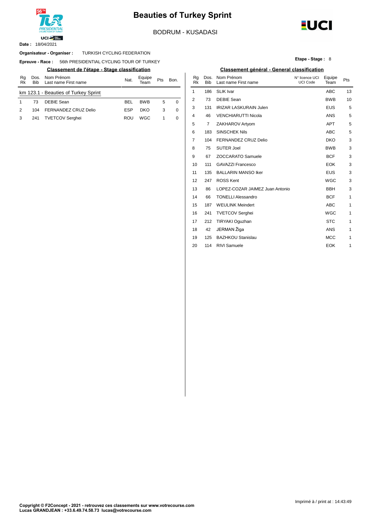

### **Beauties of Turkey Sprint**

BODRUM - KUSADASI

18/04/2021 **Date :**

#### TURKISH CYCLING FEDERATION **Organisateur - Organiser :**

**Epreuve - Race: 56th PRESIDENTIAL CYCLING TOUR OF TURKEY** 

| Ra<br>Rk | Dos.<br><b>Bib</b> | Nom Prénom<br>Last name First name   | Nat.       | Equipe<br>Геаm | Pts | Bon. | Ra<br>Rk | Bib | Dos. Nom Prénom<br>Last name Fir |
|----------|--------------------|--------------------------------------|------------|----------------|-----|------|----------|-----|----------------------------------|
|          |                    | km 123.1 - Beauties of Turkey Sprint |            |                |     |      |          | 186 | SLIK Ivar                        |
|          | 73                 | DEBIE Sean                           | <b>BEL</b> | <b>BWB</b>     | 5   |      |          | 73  | DEBIE Sean                       |
| 2        | 104                | FERNANDEZ CRUZ Delio                 | <b>ESP</b> | DKO            | 3   |      | 3        | 131 | <b>IRIZAR LASK</b>               |
|          | 241                | <b>TVETCOV Serghei</b>               | ROU        | WGC            |     | 0    |          | 46  | <b>VENCHIARU</b>                 |



**EUCI** 

#### **Classement de l'étape - Stage classification Classement général - General classification**

| Nom Prénom<br>Last name First name | Nat.       | Equipe<br>Team | Pts | Bon.     | Rg<br>Rk | Dos.<br><b>Bib</b> | Nom Prénom<br>Last name First name | N° licence UCI<br><b>UCI Code</b> | Equipe<br>Team | Pts |
|------------------------------------|------------|----------------|-----|----------|----------|--------------------|------------------------------------|-----------------------------------|----------------|-----|
| <b>Beauties of Turkey Sprint</b>   |            |                |     |          | 1        | 186                | <b>SLIK Ivar</b>                   |                                   | <b>ABC</b>     | 13  |
| <b>DEBIE Sean</b>                  | <b>BEL</b> | <b>BWB</b>     | 5   | $\Omega$ | 2        | 73                 | <b>DEBIE Sean</b>                  |                                   | <b>BWB</b>     | 10  |
| FERNANDEZ CRUZ Delio               | <b>ESP</b> | <b>DKO</b>     | 3   | 0        | 3        | 131                | <b>IRIZAR LASKURAIN Julen</b>      |                                   | <b>EUS</b>     | 5   |
| <b>TVETCOV Serghei</b>             | <b>ROU</b> | WGC            | 1   | 0        | 4        | 46                 | <b>VENCHIARUTTI Nicola</b>         |                                   | ANS            | 5   |
|                                    |            |                |     |          | 5        | 7                  | ZAKHAROV Artyom                    |                                   | <b>APT</b>     | 5   |
|                                    |            |                |     |          | 6        | 183                | <b>SINSCHEK Nils</b>               |                                   | ABC            | 5   |
|                                    |            |                |     |          | 7        | 104                | FERNANDEZ CRUZ Delio               |                                   | <b>DKO</b>     | 3   |
|                                    |            |                |     |          | 8        | 75                 | <b>SUTER Joel</b>                  |                                   | <b>BWB</b>     | 3   |
|                                    |            |                |     |          | 9        | 67                 | <b>ZOCCARATO Samuele</b>           |                                   | <b>BCF</b>     | 3   |
|                                    |            |                |     |          | 10       | 111                | <b>GAVAZZI Francesco</b>           |                                   | <b>EOK</b>     | 3   |
|                                    |            |                |     |          | 11       | 135                | <b>BALLARIN MANSO Iker</b>         |                                   | <b>EUS</b>     | 3   |
|                                    |            |                |     |          | 12       | 247                | <b>ROSS Kent</b>                   |                                   | <b>WGC</b>     | 3   |
|                                    |            |                |     |          | 13       | 86                 | LOPEZ-COZAR JAIMEZ Juan Antonio    |                                   | <b>BBH</b>     | 3   |
|                                    |            |                |     |          | 14       | 66                 | <b>TONELLI Alessandro</b>          |                                   | <b>BCF</b>     | 1   |
|                                    |            |                |     |          | 15       | 187                | <b>WEULINK Meindert</b>            |                                   | ABC            | 1   |
|                                    |            |                |     |          | 16       | 241                | <b>TVETCOV Serghei</b>             |                                   | <b>WGC</b>     | 1   |
|                                    |            |                |     |          | 17       | 212                | TIRYAKI Oguzhan                    |                                   | <b>STC</b>     | 1   |
|                                    |            |                |     |          | 18       | 42                 | JERMAN Žiga                        |                                   | ANS            | 1   |
|                                    |            |                |     |          | 19       | 125                | <b>BAZHKOU Stanislau</b>           |                                   | <b>MCC</b>     | 1   |
|                                    |            |                |     |          | 20       | 114                | <b>RIVI Samuele</b>                |                                   | <b>EOK</b>     | 1   |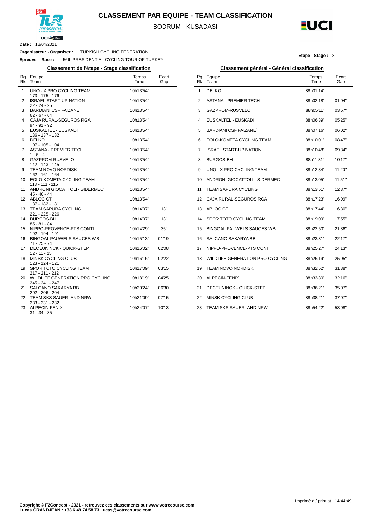

#### **CLASSEMENT PAR EQUIPE - TEAM CLASSIFICATION**

BODRUM - KUSADASI

l,



**Etape - Stage :** 8

**Date :** 18/04/2021

#### **Organisateur - Organiser :** TURKISH CYCLING FEDERATION

**Epreuve - Race :** 56th PRESIDENTIAL CYCLING TOUR OF TURKEY

| Rg<br>Rk | Equipe<br>Team                                     | Temps<br>Time | Ecart<br>Gap |
|----------|----------------------------------------------------|---------------|--------------|
| 1        | UNO - X PRO CYCLING TEAM<br>173 - 175 - 176        | 10h13'54"     |              |
| 2        | <b>ISRAEL START-UP NATION</b><br>22 - 24 - 25      | 10h13'54"     |              |
| 3        | <b>BARDIANI CSF FAIZANE</b><br>$62 - 67 - 64$      | 10h13'54"     |              |
| 4        | CAJA RURAL-SEGUROS RGA<br>94 - 91 - 92             | 10h13'54"     |              |
| 5        | EUSKALTEL - EUSKADI<br>136 - 137 - 132             | 10h13'54"     |              |
| 6        | <b>DELKO</b><br>107 - 105 - 104                    | 10h13'54"     |              |
| 7        | ASTANA - PREMIER TECH<br>$1 - 5 - 4$               | 10h13'54"     |              |
| 8        | GAZPROM-RUSVELO<br>142 - 143 - 145                 | 10h13'54"     |              |
| 9        | <b>TEAM NOVO NORDISK</b><br>162 - 161 - 164        | 10h13'54"     |              |
| 10       | EOLO-KOMETA CYCLING TEAM<br>113 - 111 - 115        | 10h13'54"     |              |
| 11       | ANDRONI GIOCATTOLI - SIDERMEC<br>45 - 46 - 44      | 10h13'54"     |              |
| 12       | ABLOC CT<br>187 - 182 - 181                        | 10h13'54"     |              |
| 13       | TEAM SAPURA CYCLING<br>221 - 225 - 226             | 10h14'07"     | 13"          |
| 14       | <b>BURGOS-BH</b><br>85 - 81 - 84                   | 10h14'07"     | 13"          |
| 15       | NIPPO-PROVENCE-PTS CONTI<br>192 - 194 - 191        | 10h14'29"     | 35"          |
| 16       | <b>BINGOAL PAUWELS SAUCES WB</b><br>$71 - 75 - 74$ | 10h15'13"     | 01'19"       |
| 17       | DECEUNINCK - QUICK-STEP<br>$12 - 11 - 15$          | 10h16'02"     | 02'08"       |
| 18       | <b>MINSK CYCLING CLUB</b><br>123 - 124 - 121       | 10h16'16"     | 02'22"       |
| 19       | SPOR TOTO CYCLING TEAM<br>217 - 211 - 212          | 10h17'09"     | 03'15"       |
| 20       | WILDLIFE GENERATION PRO CYCLING<br>245 - 241 - 247 | 10h18'19"     | 04'25"       |
| 21       | SALCANO SAKARYA BB<br>202 - 206 - 204              | 10h20'24"     | 06'30"       |
| 22       | TEAM SKS SAUERLAND NRW<br>233 - 231 - 232          | 10h21'09"     | 07'15"       |
| 23       | ALPECIN-FENIX<br>$31 - 34 - 35$                    | 10h24'07"     | 10'13"       |

#### **Classement de l'étape - Stage classification Classement général - Général classification**

| Rg<br>Rk | Equipe<br>Team                  | Temps<br>Time | Ecart<br>Gap |
|----------|---------------------------------|---------------|--------------|
| 1        | <b>DELKO</b>                    | 88h01'14"     |              |
| 2        | ASTANA - PREMIER TECH           | 88h02'18"     | 01'04"       |
| 3        | GAZPROM-RUSVELO                 | 88h05'11"     | 03'57"       |
| 4        | EUSKALTEL - EUSKADI             | 88h06'39"     | 05'25"       |
| 5        | <b>BARDIANI CSF FAIZANE'</b>    | 88h07'16"     | 06'02"       |
| 6        | EOLO-KOMETA CYCLING TEAM        | 88h10'01"     | 08'47"       |
| 7        | <b>ISRAEL START-UP NATION</b>   | 88h10'48"     | 09'34"       |
| 8        | BURGOS-BH                       | 88h11'31"     | 10'17"       |
| 9        | UNO - X PRO CYCLING TEAM        | 88h12'34"     | 11'20"       |
| 10       | ANDRONI GIOCATTOLI - SIDERMEC   | 88h13'05"     | 11'51"       |
| 11       | <b>TEAM SAPURA CYCLING</b>      | 88h13'51"     | 12'37"       |
| 12       | CAJA RURAL-SEGUROS RGA          | 88h17'23"     | 16'09"       |
| 13       | ABLOC CT                        | 88h17'44"     | 16'30"       |
| 14       | SPOR TOTO CYCLING TEAM          | 88h19'09"     | 17'55"       |
| 15       | BINGOAL PAUWELS SAUCES WB       | 88h22'50"     | 21'36"       |
| 16       | SALCANO SAKARYA BB              | 88h23'31"     | 22'17"       |
| 17       | NIPPO-PROVENCE-PTS CONTI        | 88h25'27"     | 24'13"       |
| 18       | WILDLIFE GENERATION PRO CYCLING | 88h26'19"     | 25'05"       |
| 19       | TEAM NOVO NORDISK               | 88h32'52"     | 31'38"       |
| 20       | ALPECIN-FENIX                   | 88h33'30"     | 32'16"       |
| 21       | DECEUNINCK - QUICK-STEP         | 88h36'21"     | 35'07"       |
| 22       | <b>MINSK CYCLING CLUB</b>       | 88h38'21"     | 37'07"       |
| 23       | <b>TEAM SKS SAUERLAND NRW</b>   | 88h54'22"     | 53'08"       |